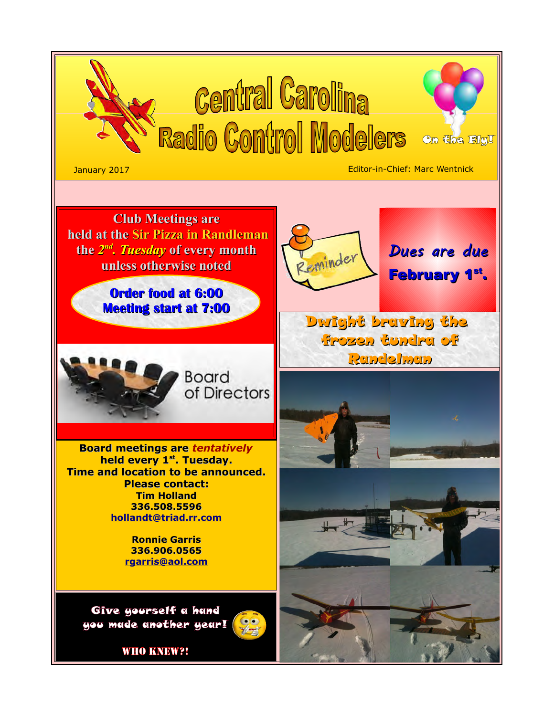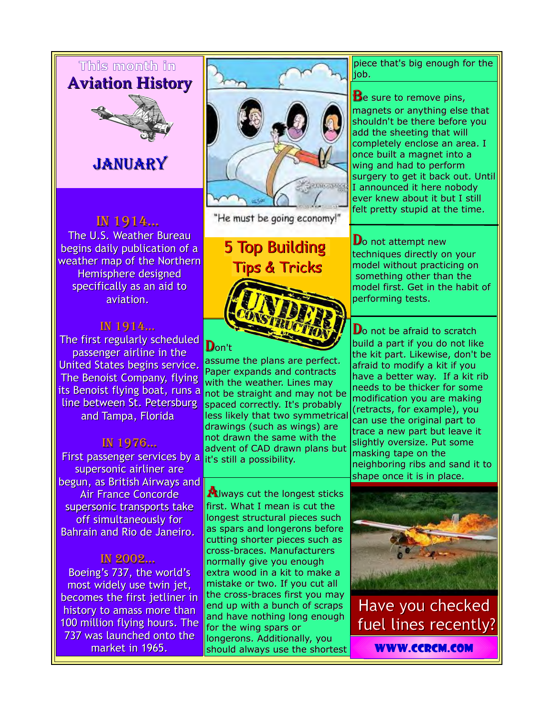## **This month in Aviation History**



# JANUARY

### In 1914...

The U.S. Weather Bureau begins daily publication of a weather map of the Northern Hemisphere designed specifically as an aid to aviation.

### In 1914...

The first regularly scheduled passenger airline in the United States begins service. The Benoist Company, flying its Benoist flying boat, runs a line between St. Petersburg and Tampa, Florida

### In 1976...

 First passenger services by a supersonic airliner are begun, as British Airways and Air France Concorde supersonic transports take off simultaneously for Bahrain and Rio de Janeiro.

#### In 2002...

Boeing's 737, the world's most widely use twin jet, becomes the first jetliner in history to amass more than 100 million flying hours. The 737 was launched onto the market in 1965.



"He must be going economy!"

5 Top Building Tips & Tricks

### Don't

assume the plans are perfect. Paper expands and contracts with the weather. Lines may not be straight and may not be spaced correctly. It's probably less likely that two symmetrical drawings (such as wings) are not drawn the same with the advent of CAD drawn plans but it's still a possibility.

**Always cut the longest sticks** first. What I mean is cut the longest structural pieces such as spars and longerons before cutting shorter pieces such as cross-braces. Manufacturers normally give you enough extra wood in a kit to make a mistake or two. If you cut all the cross-braces first you may end up with a bunch of scraps and have nothing long enough for the wing spars or longerons. Additionally, you should always use the shortest

piece that's big enough for the job.

#### **B**e sure to remove pins, magnets or anything else that shouldn't be there before you add the sheeting that will completely enclose an area. I once built a magnet into a wing and had to perform surgery to get it back out. Until I announced it here nobody ever knew about it but I still felt pretty stupid at the time.

 $\mathbf{D}$ o not attempt new techniques directly on your model without practicing on something other than the model first. Get in the habit of performing tests.

 $\mathbf D$ o not be afraid to scratch build a part if you do not like the kit part. Likewise, don't be afraid to modify a kit if you have a better way. If a kit rib needs to be thicker for some modification you are making (retracts, for example), you can use the original part to trace a new part but leave it slightly oversize. Put some masking tape on the neighboring ribs and sand it to shape once it is in place.



Have you checked fuel lines recently?

[www.ccrcm.com](http://www.ccrcm.com/)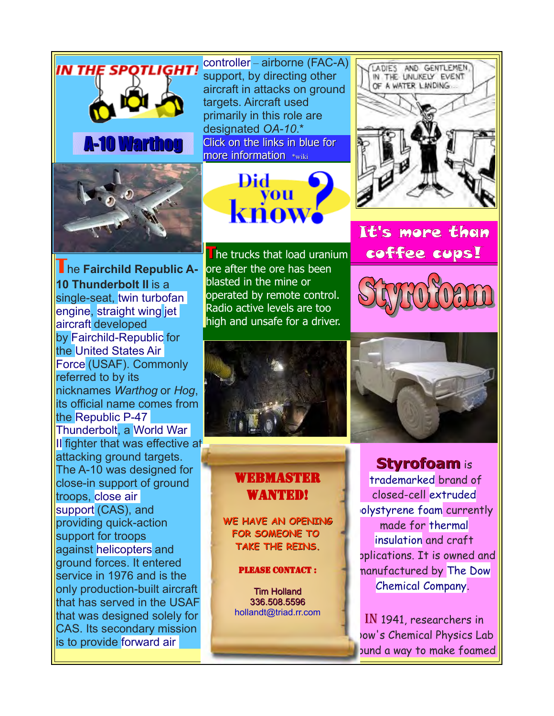

bund a way to make foamed